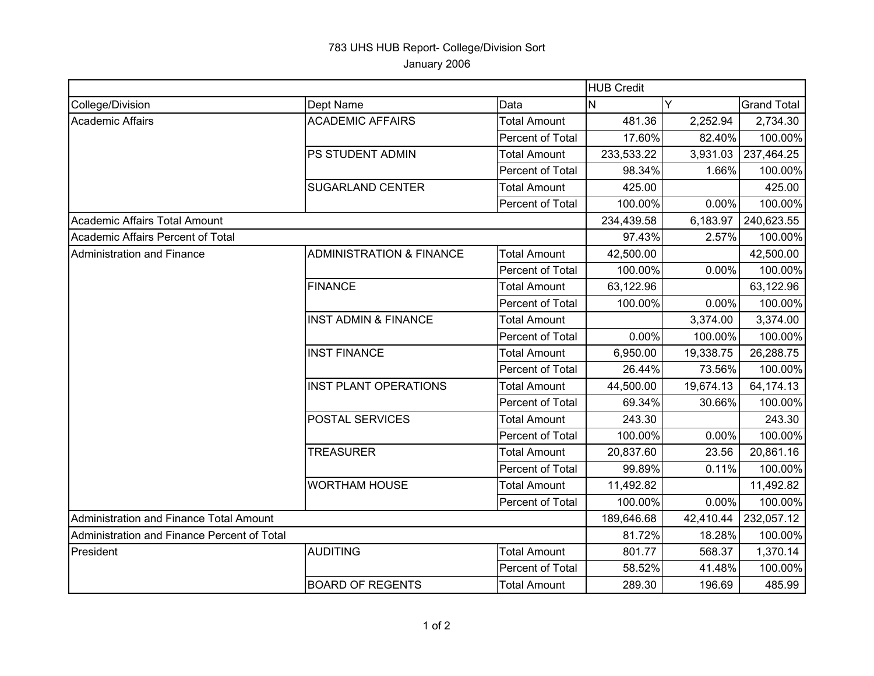## 783 UHS HUB Report- College/Division Sort January 2006

|                                             |                                     |                     | <b>HUB Credit</b> |           |                    |  |
|---------------------------------------------|-------------------------------------|---------------------|-------------------|-----------|--------------------|--|
| College/Division                            | Dept Name                           | Data                | N                 |           | <b>Grand Total</b> |  |
| Academic Affairs                            | <b>ACADEMIC AFFAIRS</b>             | <b>Total Amount</b> | 481.36            | 2,252.94  | 2,734.30           |  |
|                                             |                                     | Percent of Total    | 17.60%            | 82.40%    | 100.00%            |  |
|                                             | PS STUDENT ADMIN                    | <b>Total Amount</b> | 233,533.22        | 3,931.03  | 237,464.25         |  |
|                                             |                                     | Percent of Total    | 98.34%            | 1.66%     | 100.00%            |  |
|                                             | <b>SUGARLAND CENTER</b>             | <b>Total Amount</b> | 425.00            |           | 425.00             |  |
|                                             |                                     | Percent of Total    | 100.00%           | 0.00%     | 100.00%            |  |
| Academic Affairs Total Amount               |                                     |                     | 234,439.58        | 6,183.97  | 240,623.55         |  |
| Academic Affairs Percent of Total           |                                     |                     | 97.43%            | 2.57%     | 100.00%            |  |
| Administration and Finance                  | <b>ADMINISTRATION &amp; FINANCE</b> | <b>Total Amount</b> | 42,500.00         |           | 42,500.00          |  |
|                                             |                                     | Percent of Total    | 100.00%           | 0.00%     | 100.00%            |  |
|                                             | <b>FINANCE</b>                      | <b>Total Amount</b> | 63,122.96         |           | 63,122.96          |  |
|                                             |                                     | Percent of Total    | 100.00%           | 0.00%     | 100.00%            |  |
|                                             | <b>INST ADMIN &amp; FINANCE</b>     | <b>Total Amount</b> |                   | 3,374.00  | 3,374.00           |  |
|                                             |                                     | Percent of Total    | 0.00%             | 100.00%   | 100.00%            |  |
|                                             | <b>INST FINANCE</b>                 | <b>Total Amount</b> | 6,950.00          | 19,338.75 | 26,288.75          |  |
|                                             |                                     | Percent of Total    | 26.44%            | 73.56%    | 100.00%            |  |
|                                             | <b>INST PLANT OPERATIONS</b>        | <b>Total Amount</b> | 44,500.00         | 19,674.13 | 64,174.13          |  |
|                                             |                                     | Percent of Total    | 69.34%            | 30.66%    | 100.00%            |  |
|                                             | POSTAL SERVICES                     | <b>Total Amount</b> | 243.30            |           | 243.30             |  |
|                                             |                                     | Percent of Total    | 100.00%           | 0.00%     | 100.00%            |  |
|                                             | <b>TREASURER</b>                    | <b>Total Amount</b> | 20,837.60         | 23.56     | 20,861.16          |  |
|                                             |                                     | Percent of Total    | 99.89%            | 0.11%     | 100.00%            |  |
|                                             | <b>WORTHAM HOUSE</b>                | <b>Total Amount</b> | 11,492.82         |           | 11,492.82          |  |
|                                             |                                     | Percent of Total    | 100.00%           | 0.00%     | 100.00%            |  |
| Administration and Finance Total Amount     |                                     |                     | 189,646.68        | 42,410.44 | 232,057.12         |  |
| Administration and Finance Percent of Total |                                     |                     | 81.72%            | 18.28%    | 100.00%            |  |
| President                                   | <b>AUDITING</b>                     | <b>Total Amount</b> | 801.77            | 568.37    | 1,370.14           |  |
|                                             |                                     | Percent of Total    | 58.52%            | 41.48%    | 100.00%            |  |
|                                             | <b>BOARD OF REGENTS</b>             | <b>Total Amount</b> | 289.30            | 196.69    | 485.99             |  |